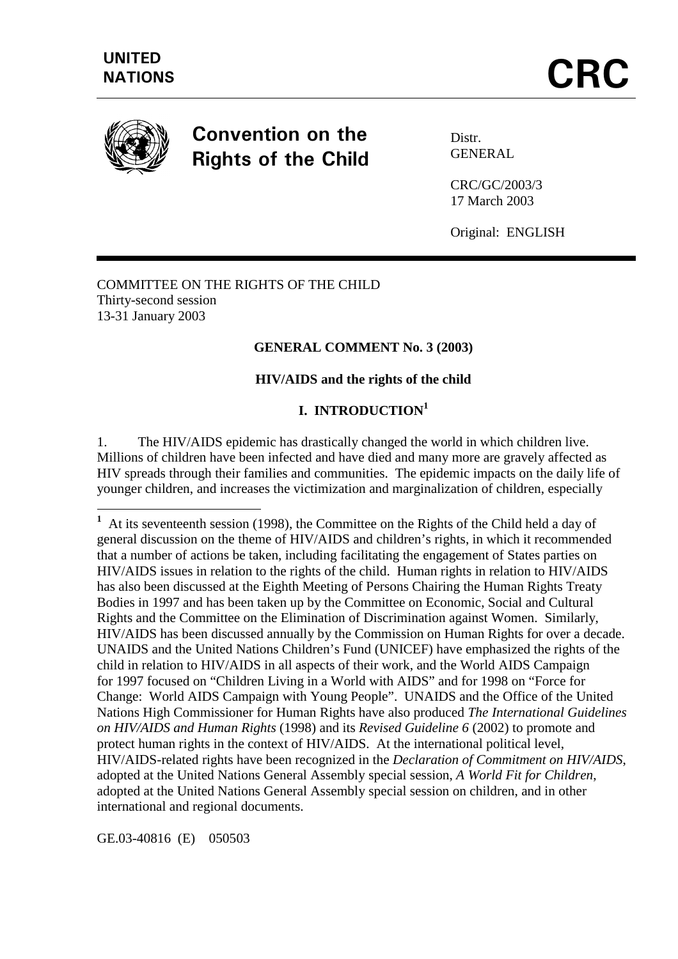

# **Convention on the Rights of the Child**

Distr. GENERAL

CRC/GC/2003/3 17 March 2003

Original: ENGLISH

COMMITTEE ON THE RIGHTS OF THE CHILD Thirty-second session 13-31 January 2003

#### **GENERAL COMMENT No. 3 (2003)**

#### **HIV/AIDS and the rights of the child**

## **I. INTRODUCTION1**

1. The HIV/AIDS epidemic has drastically changed the world in which children live. Millions of children have been infected and have died and many more are gravely affected as HIV spreads through their families and communities. The epidemic impacts on the daily life of younger children, and increases the victimization and marginalization of children, especially

GE.03-40816 (E) 050503

 **1** At its seventeenth session (1998), the Committee on the Rights of the Child held a day of general discussion on the theme of HIV/AIDS and children's rights, in which it recommended that a number of actions be taken, including facilitating the engagement of States parties on HIV/AIDS issues in relation to the rights of the child. Human rights in relation to HIV/AIDS has also been discussed at the Eighth Meeting of Persons Chairing the Human Rights Treaty Bodies in 1997 and has been taken up by the Committee on Economic, Social and Cultural Rights and the Committee on the Elimination of Discrimination against Women. Similarly, HIV/AIDS has been discussed annually by the Commission on Human Rights for over a decade. UNAIDS and the United Nations Children's Fund (UNICEF) have emphasized the rights of the child in relation to HIV/AIDS in all aspects of their work, and the World AIDS Campaign for 1997 focused on "Children Living in a World with AIDS" and for 1998 on "Force for Change: World AIDS Campaign with Young People". UNAIDS and the Office of the United Nations High Commissioner for Human Rights have also produced *The International Guidelines on HIV/AIDS and Human Rights* (1998) and its *Revised Guideline 6* (2002) to promote and protect human rights in the context of HIV/AIDS. At the international political level, HIV/AIDS-related rights have been recognized in the *Declaration of Commitment on HIV/AIDS*, adopted at the United Nations General Assembly special session, *A World Fit for Children*, adopted at the United Nations General Assembly special session on children, and in other international and regional documents.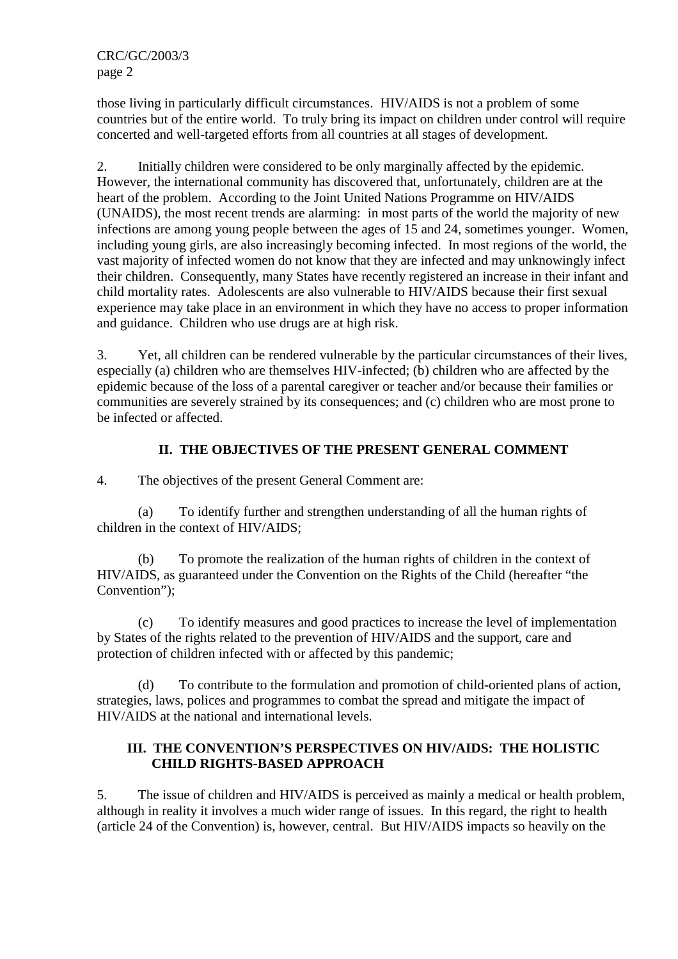those living in particularly difficult circumstances. HIV/AIDS is not a problem of some countries but of the entire world. To truly bring its impact on children under control will require concerted and well-targeted efforts from all countries at all stages of development.

2. Initially children were considered to be only marginally affected by the epidemic. However, the international community has discovered that, unfortunately, children are at the heart of the problem. According to the Joint United Nations Programme on HIV/AIDS (UNAIDS), the most recent trends are alarming: in most parts of the world the majority of new infections are among young people between the ages of 15 and 24, sometimes younger. Women, including young girls, are also increasingly becoming infected. In most regions of the world, the vast majority of infected women do not know that they are infected and may unknowingly infect their children. Consequently, many States have recently registered an increase in their infant and child mortality rates. Adolescents are also vulnerable to HIV/AIDS because their first sexual experience may take place in an environment in which they have no access to proper information and guidance. Children who use drugs are at high risk.

3. Yet, all children can be rendered vulnerable by the particular circumstances of their lives, especially (a) children who are themselves HIV-infected; (b) children who are affected by the epidemic because of the loss of a parental caregiver or teacher and/or because their families or communities are severely strained by its consequences; and (c) children who are most prone to be infected or affected.

# **II. THE OBJECTIVES OF THE PRESENT GENERAL COMMENT**

4. The objectives of the present General Comment are:

 (a) To identify further and strengthen understanding of all the human rights of children in the context of HIV/AIDS;

 (b) To promote the realization of the human rights of children in the context of HIV/AIDS, as guaranteed under the Convention on the Rights of the Child (hereafter "the Convention");

 (c) To identify measures and good practices to increase the level of implementation by States of the rights related to the prevention of HIV/AIDS and the support, care and protection of children infected with or affected by this pandemic;

 (d) To contribute to the formulation and promotion of child-oriented plans of action, strategies, laws, polices and programmes to combat the spread and mitigate the impact of HIV/AIDS at the national and international levels.

## **III. THE CONVENTION'S PERSPECTIVES ON HIV/AIDS: THE HOLISTIC CHILD RIGHTS-BASED APPROACH**

5. The issue of children and HIV/AIDS is perceived as mainly a medical or health problem, although in reality it involves a much wider range of issues. In this regard, the right to health (article 24 of the Convention) is, however, central. But HIV/AIDS impacts so heavily on the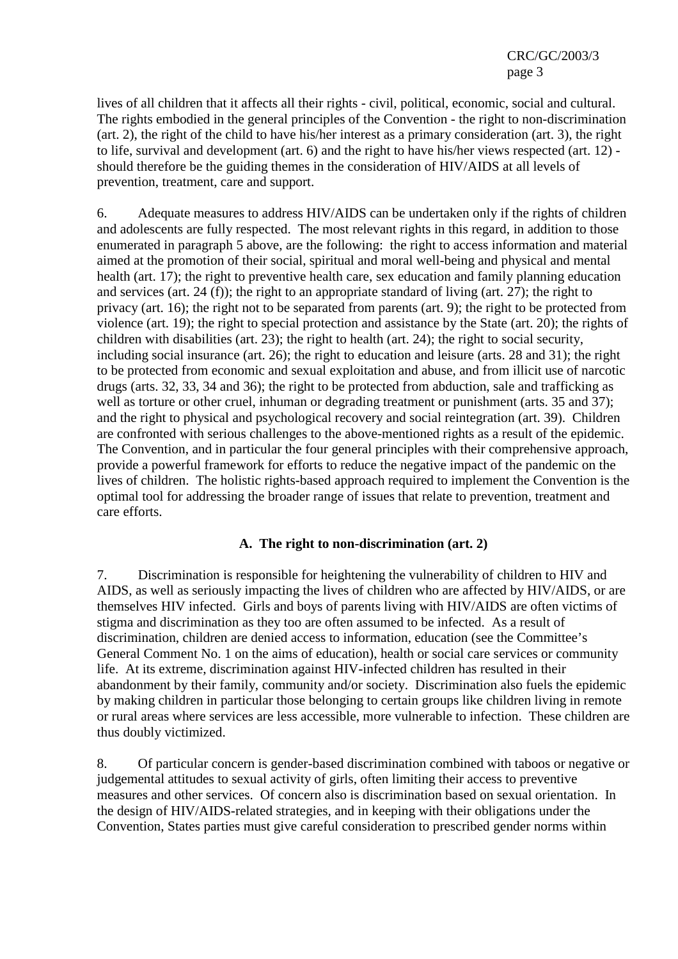lives of all children that it affects all their rights - civil, political, economic, social and cultural. The rights embodied in the general principles of the Convention - the right to non-discrimination (art. 2), the right of the child to have his/her interest as a primary consideration (art. 3), the right to life, survival and development (art. 6) and the right to have his/her views respected (art. 12) should therefore be the guiding themes in the consideration of HIV/AIDS at all levels of prevention, treatment, care and support.

6. Adequate measures to address HIV/AIDS can be undertaken only if the rights of children and adolescents are fully respected. The most relevant rights in this regard, in addition to those enumerated in paragraph 5 above, are the following: the right to access information and material aimed at the promotion of their social, spiritual and moral well-being and physical and mental health (art. 17); the right to preventive health care, sex education and family planning education and services (art. 24 (f)); the right to an appropriate standard of living (art. 27); the right to privacy (art. 16); the right not to be separated from parents (art. 9); the right to be protected from violence (art. 19); the right to special protection and assistance by the State (art. 20); the rights of children with disabilities (art. 23); the right to health (art. 24); the right to social security, including social insurance (art. 26); the right to education and leisure (arts. 28 and 31); the right to be protected from economic and sexual exploitation and abuse, and from illicit use of narcotic drugs (arts. 32, 33, 34 and 36); the right to be protected from abduction, sale and trafficking as well as torture or other cruel, inhuman or degrading treatment or punishment (arts. 35 and 37); and the right to physical and psychological recovery and social reintegration (art. 39). Children are confronted with serious challenges to the above-mentioned rights as a result of the epidemic. The Convention, and in particular the four general principles with their comprehensive approach, provide a powerful framework for efforts to reduce the negative impact of the pandemic on the lives of children. The holistic rights-based approach required to implement the Convention is the optimal tool for addressing the broader range of issues that relate to prevention, treatment and care efforts.

## **A. The right to non-discrimination (art. 2)**

7. Discrimination is responsible for heightening the vulnerability of children to HIV and AIDS, as well as seriously impacting the lives of children who are affected by HIV/AIDS, or are themselves HIV infected. Girls and boys of parents living with HIV/AIDS are often victims of stigma and discrimination as they too are often assumed to be infected. As a result of discrimination, children are denied access to information, education (see the Committee's General Comment No. 1 on the aims of education), health or social care services or community life. At its extreme, discrimination against HIV-infected children has resulted in their abandonment by their family, community and/or society. Discrimination also fuels the epidemic by making children in particular those belonging to certain groups like children living in remote or rural areas where services are less accessible, more vulnerable to infection. These children are thus doubly victimized.

8. Of particular concern is gender-based discrimination combined with taboos or negative or judgemental attitudes to sexual activity of girls, often limiting their access to preventive measures and other services. Of concern also is discrimination based on sexual orientation. In the design of HIV/AIDS-related strategies, and in keeping with their obligations under the Convention, States parties must give careful consideration to prescribed gender norms within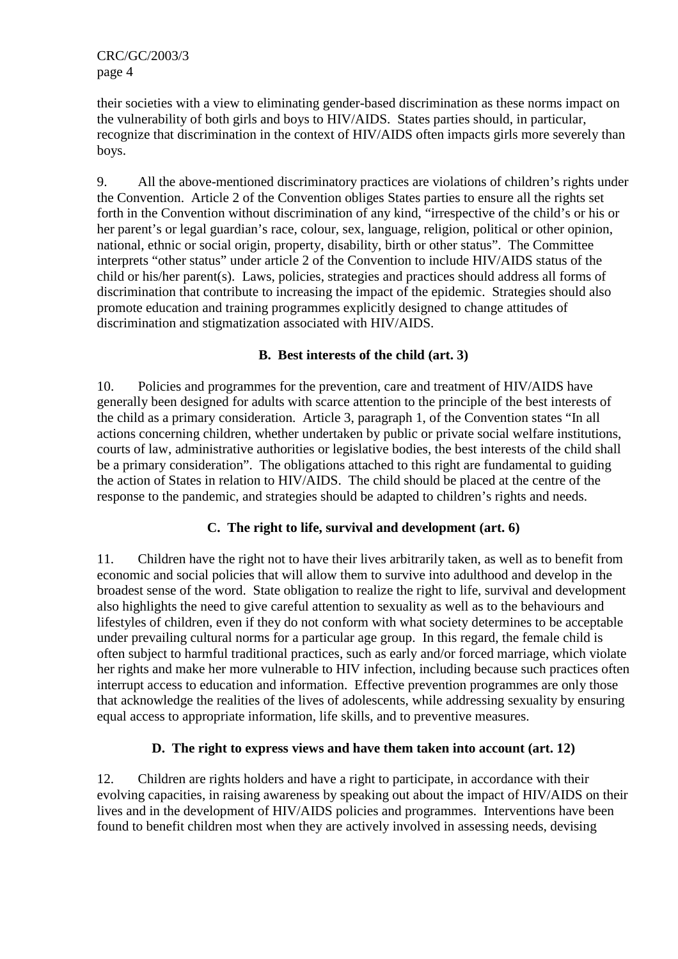their societies with a view to eliminating gender-based discrimination as these norms impact on the vulnerability of both girls and boys to HIV/AIDS. States parties should, in particular, recognize that discrimination in the context of HIV/AIDS often impacts girls more severely than boys.

9. All the above-mentioned discriminatory practices are violations of children's rights under the Convention. Article 2 of the Convention obliges States parties to ensure all the rights set forth in the Convention without discrimination of any kind, "irrespective of the child's or his or her parent's or legal guardian's race, colour, sex, language, religion, political or other opinion, national, ethnic or social origin, property, disability, birth or other status". The Committee interprets "other status" under article 2 of the Convention to include HIV/AIDS status of the child or his/her parent(s). Laws, policies, strategies and practices should address all forms of discrimination that contribute to increasing the impact of the epidemic. Strategies should also promote education and training programmes explicitly designed to change attitudes of discrimination and stigmatization associated with HIV/AIDS.

## **B. Best interests of the child (art. 3)**

10. Policies and programmes for the prevention, care and treatment of HIV/AIDS have generally been designed for adults with scarce attention to the principle of the best interests of the child as a primary consideration. Article 3, paragraph 1, of the Convention states "In all actions concerning children, whether undertaken by public or private social welfare institutions, courts of law, administrative authorities or legislative bodies, the best interests of the child shall be a primary consideration". The obligations attached to this right are fundamental to guiding the action of States in relation to HIV/AIDS. The child should be placed at the centre of the response to the pandemic, and strategies should be adapted to children's rights and needs.

# **C. The right to life, survival and development (art. 6)**

11. Children have the right not to have their lives arbitrarily taken, as well as to benefit from economic and social policies that will allow them to survive into adulthood and develop in the broadest sense of the word. State obligation to realize the right to life, survival and development also highlights the need to give careful attention to sexuality as well as to the behaviours and lifestyles of children, even if they do not conform with what society determines to be acceptable under prevailing cultural norms for a particular age group. In this regard, the female child is often subject to harmful traditional practices, such as early and/or forced marriage, which violate her rights and make her more vulnerable to HIV infection, including because such practices often interrupt access to education and information. Effective prevention programmes are only those that acknowledge the realities of the lives of adolescents, while addressing sexuality by ensuring equal access to appropriate information, life skills, and to preventive measures.

## **D. The right to express views and have them taken into account (art. 12)**

12. Children are rights holders and have a right to participate, in accordance with their evolving capacities, in raising awareness by speaking out about the impact of HIV/AIDS on their lives and in the development of HIV/AIDS policies and programmes. Interventions have been found to benefit children most when they are actively involved in assessing needs, devising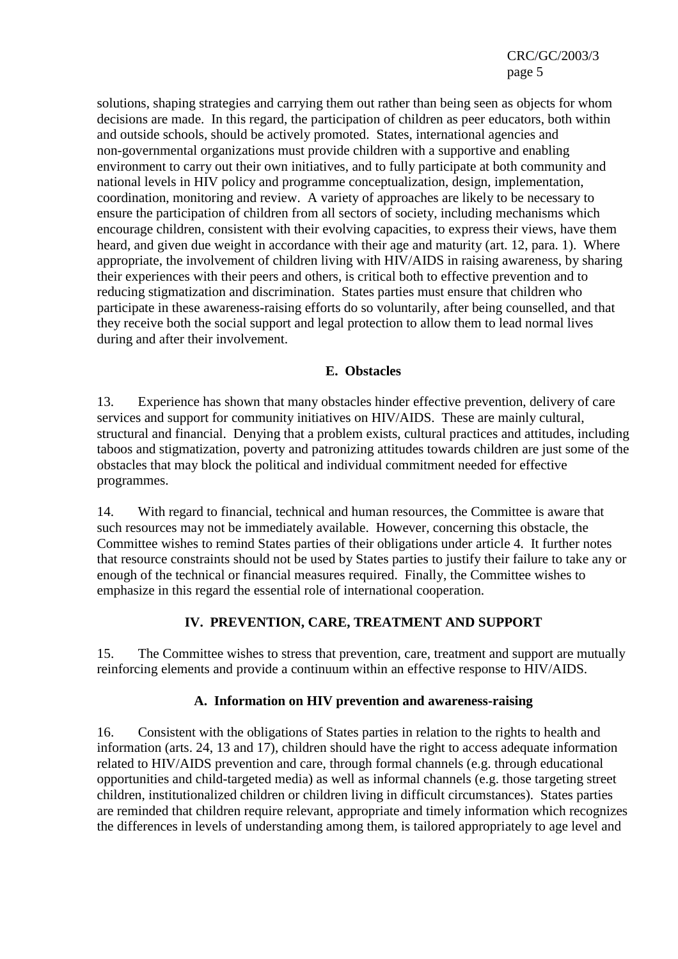solutions, shaping strategies and carrying them out rather than being seen as objects for whom decisions are made. In this regard, the participation of children as peer educators, both within and outside schools, should be actively promoted. States, international agencies and non-governmental organizations must provide children with a supportive and enabling environment to carry out their own initiatives, and to fully participate at both community and national levels in HIV policy and programme conceptualization, design, implementation, coordination, monitoring and review. A variety of approaches are likely to be necessary to ensure the participation of children from all sectors of society, including mechanisms which encourage children, consistent with their evolving capacities, to express their views, have them heard, and given due weight in accordance with their age and maturity (art. 12, para. 1). Where appropriate, the involvement of children living with HIV/AIDS in raising awareness, by sharing their experiences with their peers and others, is critical both to effective prevention and to reducing stigmatization and discrimination. States parties must ensure that children who participate in these awareness-raising efforts do so voluntarily, after being counselled, and that they receive both the social support and legal protection to allow them to lead normal lives during and after their involvement.

## **E. Obstacles**

13. Experience has shown that many obstacles hinder effective prevention, delivery of care services and support for community initiatives on HIV/AIDS. These are mainly cultural, structural and financial. Denying that a problem exists, cultural practices and attitudes, including taboos and stigmatization, poverty and patronizing attitudes towards children are just some of the obstacles that may block the political and individual commitment needed for effective programmes.

14. With regard to financial, technical and human resources, the Committee is aware that such resources may not be immediately available. However, concerning this obstacle, the Committee wishes to remind States parties of their obligations under article 4. It further notes that resource constraints should not be used by States parties to justify their failure to take any or enough of the technical or financial measures required. Finally, the Committee wishes to emphasize in this regard the essential role of international cooperation.

## **IV. PREVENTION, CARE, TREATMENT AND SUPPORT**

15. The Committee wishes to stress that prevention, care, treatment and support are mutually reinforcing elements and provide a continuum within an effective response to HIV/AIDS.

## **A. Information on HIV prevention and awareness-raising**

16. Consistent with the obligations of States parties in relation to the rights to health and information (arts. 24, 13 and 17), children should have the right to access adequate information related to HIV/AIDS prevention and care, through formal channels (e.g. through educational opportunities and child-targeted media) as well as informal channels (e.g. those targeting street children, institutionalized children or children living in difficult circumstances). States parties are reminded that children require relevant, appropriate and timely information which recognizes the differences in levels of understanding among them, is tailored appropriately to age level and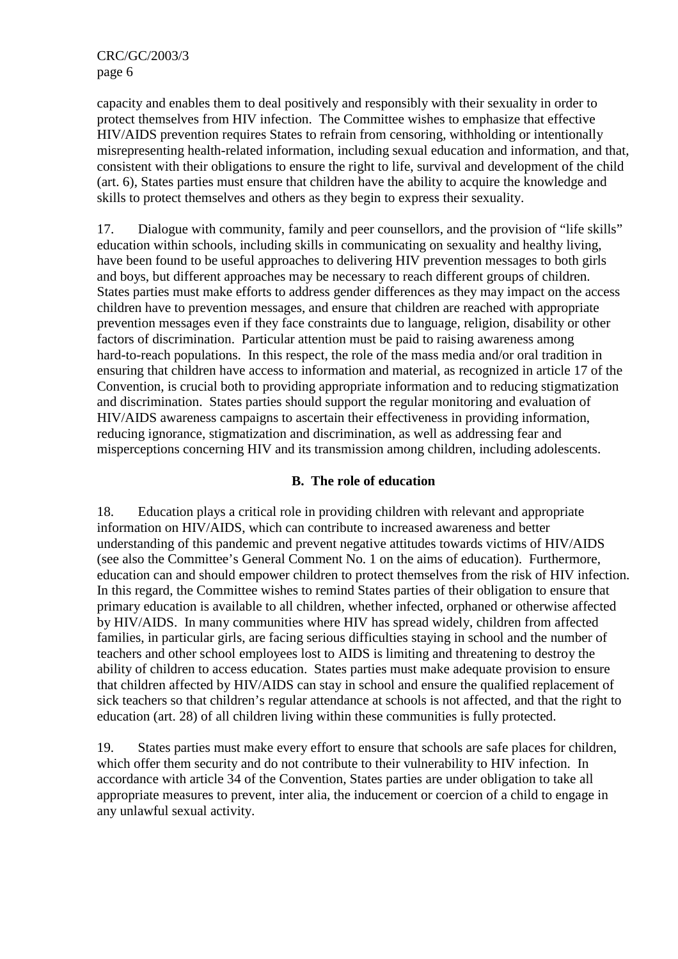capacity and enables them to deal positively and responsibly with their sexuality in order to protect themselves from HIV infection. The Committee wishes to emphasize that effective HIV/AIDS prevention requires States to refrain from censoring, withholding or intentionally misrepresenting health-related information, including sexual education and information, and that, consistent with their obligations to ensure the right to life, survival and development of the child (art. 6), States parties must ensure that children have the ability to acquire the knowledge and skills to protect themselves and others as they begin to express their sexuality.

17. Dialogue with community, family and peer counsellors, and the provision of "life skills" education within schools, including skills in communicating on sexuality and healthy living, have been found to be useful approaches to delivering HIV prevention messages to both girls and boys, but different approaches may be necessary to reach different groups of children. States parties must make efforts to address gender differences as they may impact on the access children have to prevention messages, and ensure that children are reached with appropriate prevention messages even if they face constraints due to language, religion, disability or other factors of discrimination. Particular attention must be paid to raising awareness among hard-to-reach populations. In this respect, the role of the mass media and/or oral tradition in ensuring that children have access to information and material, as recognized in article 17 of the Convention, is crucial both to providing appropriate information and to reducing stigmatization and discrimination. States parties should support the regular monitoring and evaluation of HIV/AIDS awareness campaigns to ascertain their effectiveness in providing information, reducing ignorance, stigmatization and discrimination, as well as addressing fear and misperceptions concerning HIV and its transmission among children, including adolescents.

#### **B. The role of education**

18. Education plays a critical role in providing children with relevant and appropriate information on HIV/AIDS, which can contribute to increased awareness and better understanding of this pandemic and prevent negative attitudes towards victims of HIV/AIDS (see also the Committee's General Comment No. 1 on the aims of education). Furthermore, education can and should empower children to protect themselves from the risk of HIV infection. In this regard, the Committee wishes to remind States parties of their obligation to ensure that primary education is available to all children, whether infected, orphaned or otherwise affected by HIV/AIDS. In many communities where HIV has spread widely, children from affected families, in particular girls, are facing serious difficulties staying in school and the number of teachers and other school employees lost to AIDS is limiting and threatening to destroy the ability of children to access education. States parties must make adequate provision to ensure that children affected by HIV/AIDS can stay in school and ensure the qualified replacement of sick teachers so that children's regular attendance at schools is not affected, and that the right to education (art. 28) of all children living within these communities is fully protected.

19. States parties must make every effort to ensure that schools are safe places for children, which offer them security and do not contribute to their vulnerability to HIV infection. In accordance with article 34 of the Convention, States parties are under obligation to take all appropriate measures to prevent, inter alia, the inducement or coercion of a child to engage in any unlawful sexual activity.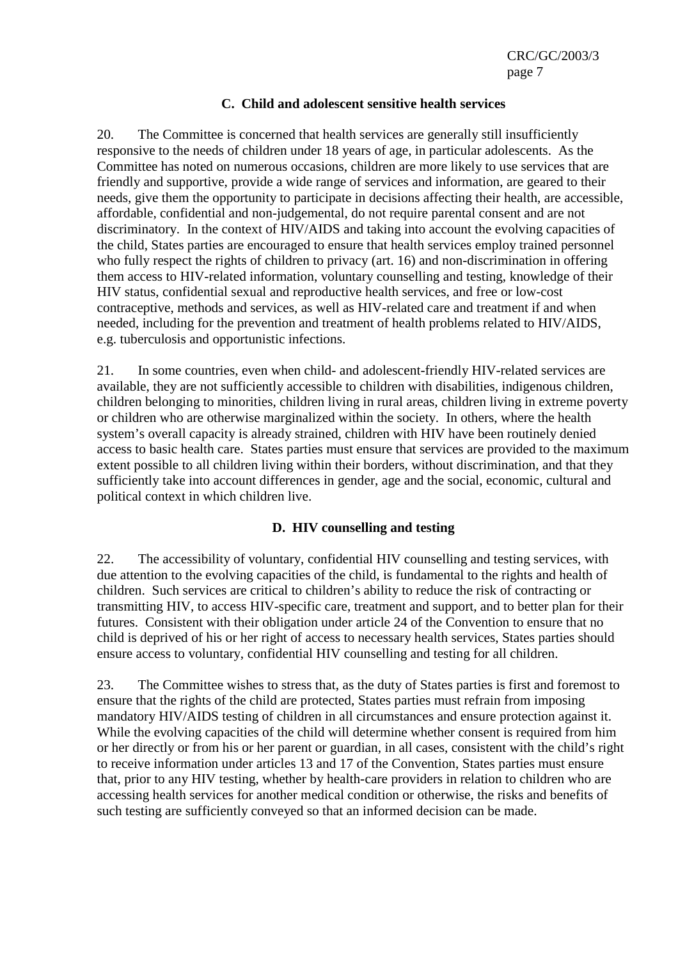## **C. Child and adolescent sensitive health services**

20. The Committee is concerned that health services are generally still insufficiently responsive to the needs of children under 18 years of age, in particular adolescents. As the Committee has noted on numerous occasions, children are more likely to use services that are friendly and supportive, provide a wide range of services and information, are geared to their needs, give them the opportunity to participate in decisions affecting their health, are accessible, affordable, confidential and non-judgemental, do not require parental consent and are not discriminatory. In the context of HIV/AIDS and taking into account the evolving capacities of the child, States parties are encouraged to ensure that health services employ trained personnel who fully respect the rights of children to privacy (art. 16) and non-discrimination in offering them access to HIV-related information, voluntary counselling and testing, knowledge of their HIV status, confidential sexual and reproductive health services, and free or low-cost contraceptive, methods and services, as well as HIV-related care and treatment if and when needed, including for the prevention and treatment of health problems related to HIV/AIDS, e.g. tuberculosis and opportunistic infections.

21. In some countries, even when child- and adolescent-friendly HIV-related services are available, they are not sufficiently accessible to children with disabilities, indigenous children, children belonging to minorities, children living in rural areas, children living in extreme poverty or children who are otherwise marginalized within the society. In others, where the health system's overall capacity is already strained, children with HIV have been routinely denied access to basic health care. States parties must ensure that services are provided to the maximum extent possible to all children living within their borders, without discrimination, and that they sufficiently take into account differences in gender, age and the social, economic, cultural and political context in which children live.

## **D. HIV counselling and testing**

22. The accessibility of voluntary, confidential HIV counselling and testing services, with due attention to the evolving capacities of the child, is fundamental to the rights and health of children. Such services are critical to children's ability to reduce the risk of contracting or transmitting HIV, to access HIV-specific care, treatment and support, and to better plan for their futures. Consistent with their obligation under article 24 of the Convention to ensure that no child is deprived of his or her right of access to necessary health services, States parties should ensure access to voluntary, confidential HIV counselling and testing for all children.

23. The Committee wishes to stress that, as the duty of States parties is first and foremost to ensure that the rights of the child are protected, States parties must refrain from imposing mandatory HIV/AIDS testing of children in all circumstances and ensure protection against it. While the evolving capacities of the child will determine whether consent is required from him or her directly or from his or her parent or guardian, in all cases, consistent with the child's right to receive information under articles 13 and 17 of the Convention, States parties must ensure that, prior to any HIV testing, whether by health-care providers in relation to children who are accessing health services for another medical condition or otherwise, the risks and benefits of such testing are sufficiently conveyed so that an informed decision can be made.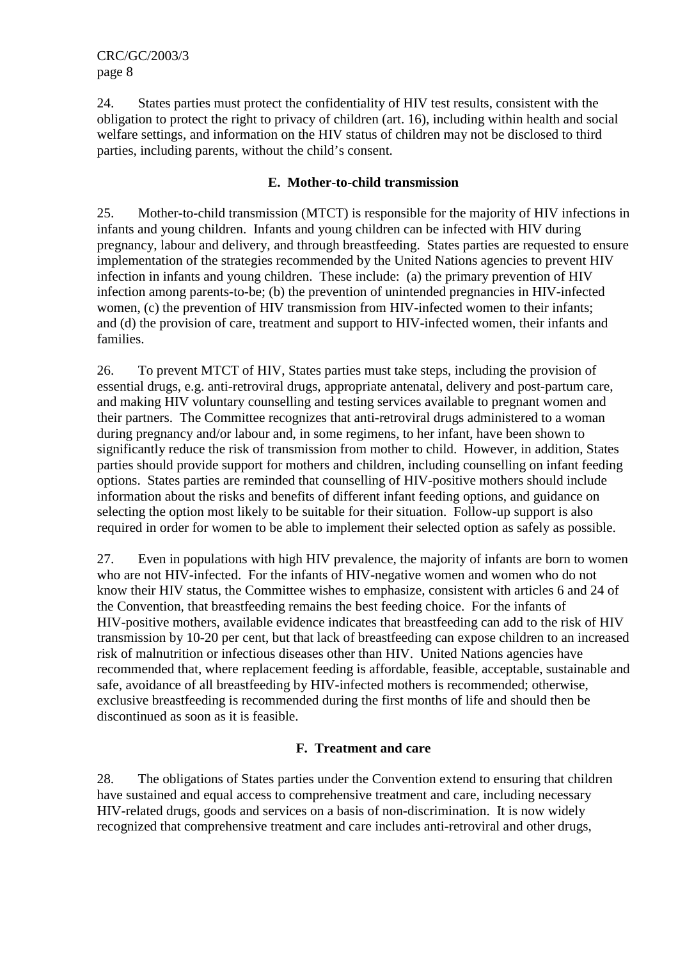24. States parties must protect the confidentiality of HIV test results, consistent with the obligation to protect the right to privacy of children (art. 16), including within health and social welfare settings, and information on the HIV status of children may not be disclosed to third parties, including parents, without the child's consent.

## **E. Mother-to-child transmission**

25. Mother-to-child transmission (MTCT) is responsible for the majority of HIV infections in infants and young children. Infants and young children can be infected with HIV during pregnancy, labour and delivery, and through breastfeeding. States parties are requested to ensure implementation of the strategies recommended by the United Nations agencies to prevent HIV infection in infants and young children. These include: (a) the primary prevention of HIV infection among parents-to-be; (b) the prevention of unintended pregnancies in HIV-infected women, (c) the prevention of HIV transmission from HIV-infected women to their infants; and (d) the provision of care, treatment and support to HIV-infected women, their infants and families.

26. To prevent MTCT of HIV, States parties must take steps, including the provision of essential drugs, e.g. anti-retroviral drugs, appropriate antenatal, delivery and post-partum care, and making HIV voluntary counselling and testing services available to pregnant women and their partners. The Committee recognizes that anti-retroviral drugs administered to a woman during pregnancy and/or labour and, in some regimens, to her infant, have been shown to significantly reduce the risk of transmission from mother to child. However, in addition, States parties should provide support for mothers and children, including counselling on infant feeding options. States parties are reminded that counselling of HIV-positive mothers should include information about the risks and benefits of different infant feeding options, and guidance on selecting the option most likely to be suitable for their situation. Follow-up support is also required in order for women to be able to implement their selected option as safely as possible.

27. Even in populations with high HIV prevalence, the majority of infants are born to women who are not HIV-infected. For the infants of HIV-negative women and women who do not know their HIV status, the Committee wishes to emphasize, consistent with articles 6 and 24 of the Convention, that breastfeeding remains the best feeding choice. For the infants of HIV-positive mothers, available evidence indicates that breastfeeding can add to the risk of HIV transmission by 10-20 per cent, but that lack of breastfeeding can expose children to an increased risk of malnutrition or infectious diseases other than HIV. United Nations agencies have recommended that, where replacement feeding is affordable, feasible, acceptable, sustainable and safe, avoidance of all breastfeeding by HIV-infected mothers is recommended; otherwise, exclusive breastfeeding is recommended during the first months of life and should then be discontinued as soon as it is feasible.

# **F. Treatment and care**

28. The obligations of States parties under the Convention extend to ensuring that children have sustained and equal access to comprehensive treatment and care, including necessary HIV-related drugs, goods and services on a basis of non-discrimination. It is now widely recognized that comprehensive treatment and care includes anti-retroviral and other drugs,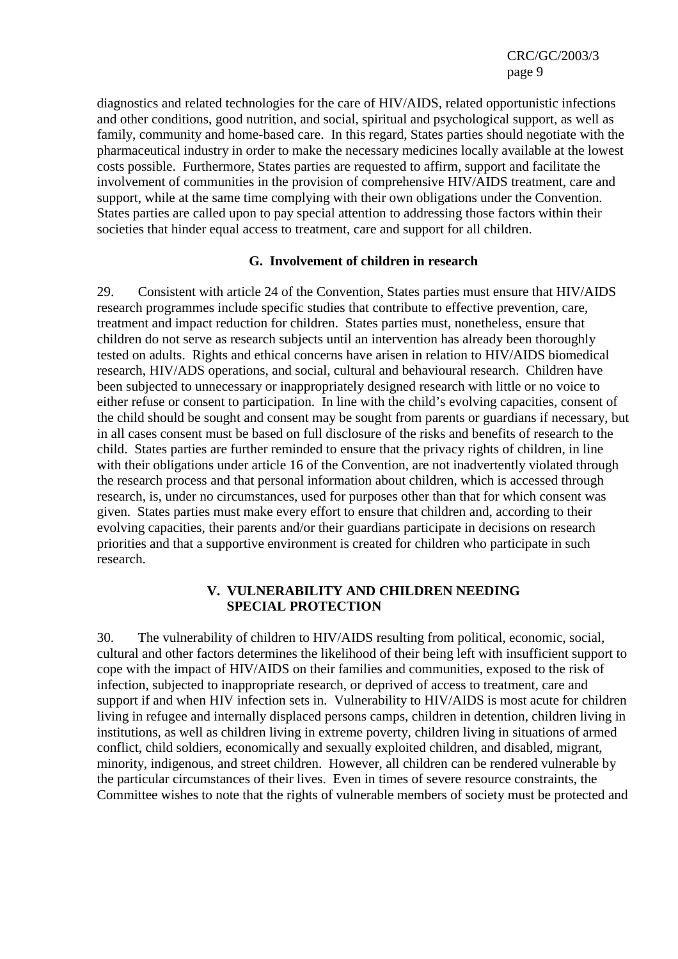diagnostics and related technologies for the care of HIV/AIDS, related opportunistic infections and other conditions, good nutrition, and social, spiritual and psychological support, as well as family, community and home-based care. In this regard, States parties should negotiate with the pharmaceutical industry in order to make the necessary medicines locally available at the lowest costs possible. Furthermore, States parties are requested to affirm, support and facilitate the involvement of communities in the provision of comprehensive HIV/AIDS treatment, care and support, while at the same time complying with their own obligations under the Convention. States parties are called upon to pay special attention to addressing those factors within their societies that hinder equal access to treatment, care and support for all children.

#### **G. Involvement of children in research**

29. Consistent with article 24 of the Convention, States parties must ensure that HIV/AIDS research programmes include specific studies that contribute to effective prevention, care, treatment and impact reduction for children. States parties must, nonetheless, ensure that children do not serve as research subjects until an intervention has already been thoroughly tested on adults. Rights and ethical concerns have arisen in relation to HIV/AIDS biomedical research, HIV/ADS operations, and social, cultural and behavioural research. Children have been subjected to unnecessary or inappropriately designed research with little or no voice to either refuse or consent to participation. In line with the child's evolving capacities, consent of the child should be sought and consent may be sought from parents or guardians if necessary, but in all cases consent must be based on full disclosure of the risks and benefits of research to the child. States parties are further reminded to ensure that the privacy rights of children, in line with their obligations under article 16 of the Convention, are not inadvertently violated through the research process and that personal information about children, which is accessed through research, is, under no circumstances, used for purposes other than that for which consent was given. States parties must make every effort to ensure that children and, according to their evolving capacities, their parents and/or their guardians participate in decisions on research priorities and that a supportive environment is created for children who participate in such research.

#### **V. VULNERABILITY AND CHILDREN NEEDING SPECIAL PROTECTION**

30. The vulnerability of children to HIV/AIDS resulting from political, economic, social, cultural and other factors determines the likelihood of their being left with insufficient support to cope with the impact of HIV/AIDS on their families and communities, exposed to the risk of infection, subjected to inappropriate research, or deprived of access to treatment, care and support if and when HIV infection sets in. Vulnerability to HIV/AIDS is most acute for children living in refugee and internally displaced persons camps, children in detention, children living in institutions, as well as children living in extreme poverty, children living in situations of armed conflict, child soldiers, economically and sexually exploited children, and disabled, migrant, minority, indigenous, and street children. However, all children can be rendered vulnerable by the particular circumstances of their lives. Even in times of severe resource constraints, the Committee wishes to note that the rights of vulnerable members of society must be protected and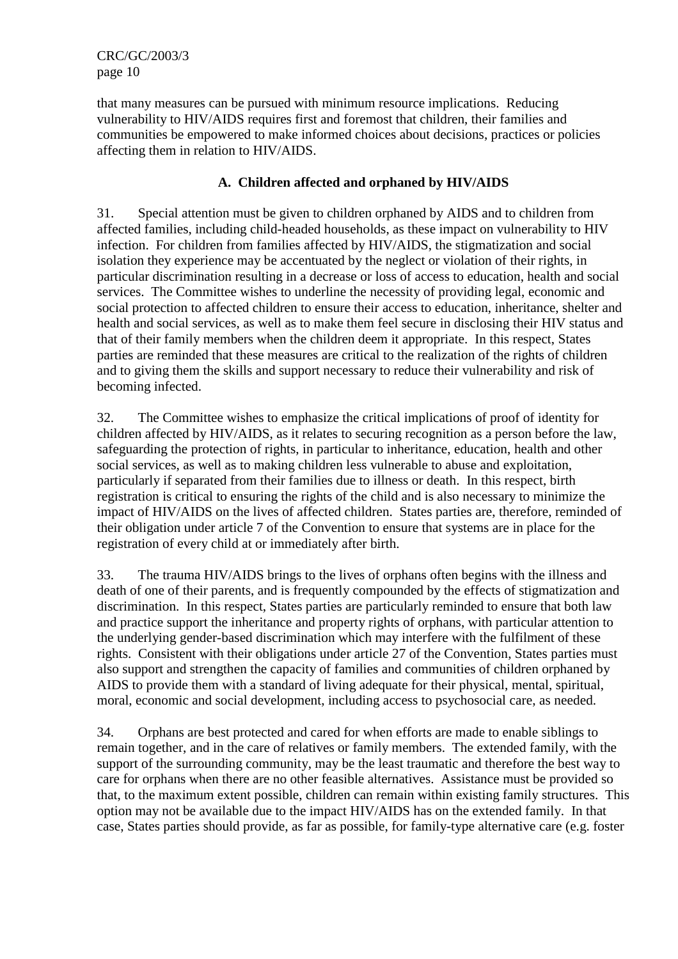that many measures can be pursued with minimum resource implications. Reducing vulnerability to HIV/AIDS requires first and foremost that children, their families and communities be empowered to make informed choices about decisions, practices or policies affecting them in relation to HIV/AIDS.

# **A. Children affected and orphaned by HIV/AIDS**

31. Special attention must be given to children orphaned by AIDS and to children from affected families, including child-headed households, as these impact on vulnerability to HIV infection. For children from families affected by HIV/AIDS, the stigmatization and social isolation they experience may be accentuated by the neglect or violation of their rights, in particular discrimination resulting in a decrease or loss of access to education, health and social services. The Committee wishes to underline the necessity of providing legal, economic and social protection to affected children to ensure their access to education, inheritance, shelter and health and social services, as well as to make them feel secure in disclosing their HIV status and that of their family members when the children deem it appropriate. In this respect, States parties are reminded that these measures are critical to the realization of the rights of children and to giving them the skills and support necessary to reduce their vulnerability and risk of becoming infected.

32. The Committee wishes to emphasize the critical implications of proof of identity for children affected by HIV/AIDS, as it relates to securing recognition as a person before the law, safeguarding the protection of rights, in particular to inheritance, education, health and other social services, as well as to making children less vulnerable to abuse and exploitation, particularly if separated from their families due to illness or death. In this respect, birth registration is critical to ensuring the rights of the child and is also necessary to minimize the impact of HIV/AIDS on the lives of affected children. States parties are, therefore, reminded of their obligation under article 7 of the Convention to ensure that systems are in place for the registration of every child at or immediately after birth.

33. The trauma HIV/AIDS brings to the lives of orphans often begins with the illness and death of one of their parents, and is frequently compounded by the effects of stigmatization and discrimination. In this respect, States parties are particularly reminded to ensure that both law and practice support the inheritance and property rights of orphans, with particular attention to the underlying gender-based discrimination which may interfere with the fulfilment of these rights. Consistent with their obligations under article 27 of the Convention, States parties must also support and strengthen the capacity of families and communities of children orphaned by AIDS to provide them with a standard of living adequate for their physical, mental, spiritual, moral, economic and social development, including access to psychosocial care, as needed.

34. Orphans are best protected and cared for when efforts are made to enable siblings to remain together, and in the care of relatives or family members. The extended family, with the support of the surrounding community, may be the least traumatic and therefore the best way to care for orphans when there are no other feasible alternatives. Assistance must be provided so that, to the maximum extent possible, children can remain within existing family structures. This option may not be available due to the impact HIV/AIDS has on the extended family. In that case, States parties should provide, as far as possible, for family-type alternative care (e.g. foster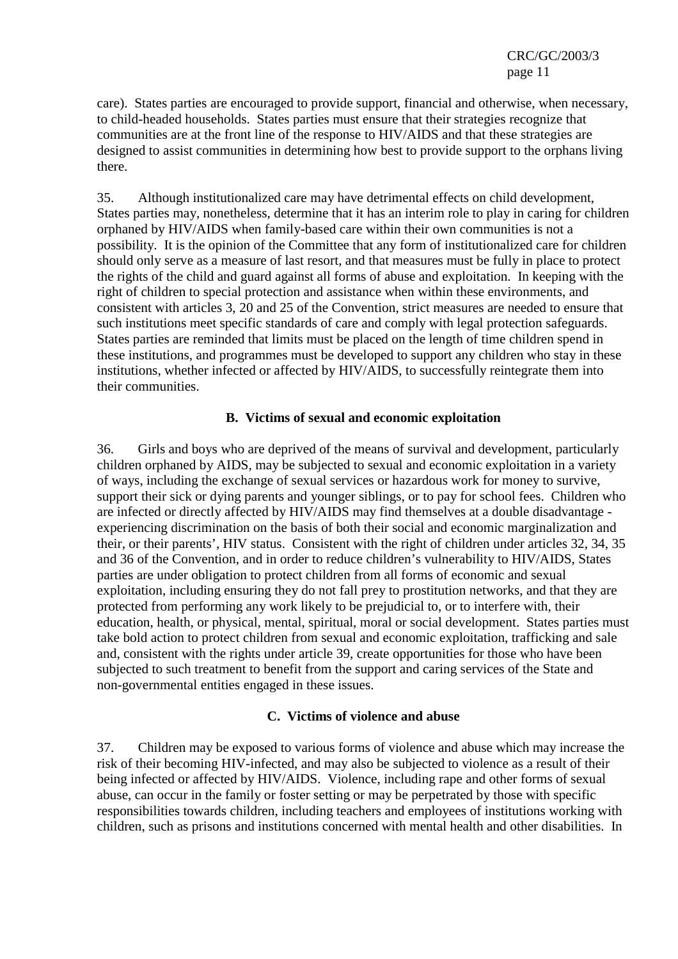care). States parties are encouraged to provide support, financial and otherwise, when necessary, to child-headed households. States parties must ensure that their strategies recognize that communities are at the front line of the response to HIV/AIDS and that these strategies are designed to assist communities in determining how best to provide support to the orphans living there.

35. Although institutionalized care may have detrimental effects on child development, States parties may, nonetheless, determine that it has an interim role to play in caring for children orphaned by HIV/AIDS when family-based care within their own communities is not a possibility. It is the opinion of the Committee that any form of institutionalized care for children should only serve as a measure of last resort, and that measures must be fully in place to protect the rights of the child and guard against all forms of abuse and exploitation. In keeping with the right of children to special protection and assistance when within these environments, and consistent with articles 3, 20 and 25 of the Convention, strict measures are needed to ensure that such institutions meet specific standards of care and comply with legal protection safeguards. States parties are reminded that limits must be placed on the length of time children spend in these institutions, and programmes must be developed to support any children who stay in these institutions, whether infected or affected by HIV/AIDS, to successfully reintegrate them into their communities.

#### **B. Victims of sexual and economic exploitation**

36. Girls and boys who are deprived of the means of survival and development, particularly children orphaned by AIDS, may be subjected to sexual and economic exploitation in a variety of ways, including the exchange of sexual services or hazardous work for money to survive, support their sick or dying parents and younger siblings, or to pay for school fees. Children who are infected or directly affected by HIV/AIDS may find themselves at a double disadvantage experiencing discrimination on the basis of both their social and economic marginalization and their, or their parents', HIV status. Consistent with the right of children under articles 32, 34, 35 and 36 of the Convention, and in order to reduce children's vulnerability to HIV/AIDS, States parties are under obligation to protect children from all forms of economic and sexual exploitation, including ensuring they do not fall prey to prostitution networks, and that they are protected from performing any work likely to be prejudicial to, or to interfere with, their education, health, or physical, mental, spiritual, moral or social development. States parties must take bold action to protect children from sexual and economic exploitation, trafficking and sale and, consistent with the rights under article 39, create opportunities for those who have been subjected to such treatment to benefit from the support and caring services of the State and non-governmental entities engaged in these issues.

#### **C. Victims of violence and abuse**

37. Children may be exposed to various forms of violence and abuse which may increase the risk of their becoming HIV-infected, and may also be subjected to violence as a result of their being infected or affected by HIV/AIDS. Violence, including rape and other forms of sexual abuse, can occur in the family or foster setting or may be perpetrated by those with specific responsibilities towards children, including teachers and employees of institutions working with children, such as prisons and institutions concerned with mental health and other disabilities. In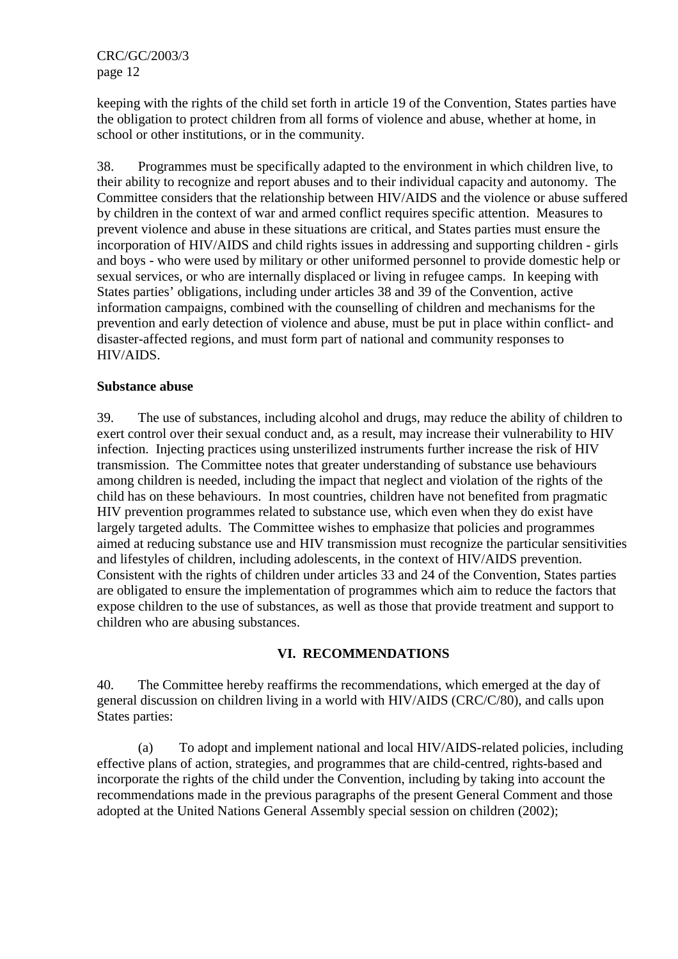keeping with the rights of the child set forth in article 19 of the Convention, States parties have the obligation to protect children from all forms of violence and abuse, whether at home, in school or other institutions, or in the community.

38. Programmes must be specifically adapted to the environment in which children live, to their ability to recognize and report abuses and to their individual capacity and autonomy. The Committee considers that the relationship between HIV/AIDS and the violence or abuse suffered by children in the context of war and armed conflict requires specific attention. Measures to prevent violence and abuse in these situations are critical, and States parties must ensure the incorporation of HIV/AIDS and child rights issues in addressing and supporting children - girls and boys - who were used by military or other uniformed personnel to provide domestic help or sexual services, or who are internally displaced or living in refugee camps. In keeping with States parties' obligations, including under articles 38 and 39 of the Convention, active information campaigns, combined with the counselling of children and mechanisms for the prevention and early detection of violence and abuse, must be put in place within conflict- and disaster-affected regions, and must form part of national and community responses to HIV/AIDS.

#### **Substance abuse**

39. The use of substances, including alcohol and drugs, may reduce the ability of children to exert control over their sexual conduct and, as a result, may increase their vulnerability to HIV infection. Injecting practices using unsterilized instruments further increase the risk of HIV transmission. The Committee notes that greater understanding of substance use behaviours among children is needed, including the impact that neglect and violation of the rights of the child has on these behaviours. In most countries, children have not benefited from pragmatic HIV prevention programmes related to substance use, which even when they do exist have largely targeted adults. The Committee wishes to emphasize that policies and programmes aimed at reducing substance use and HIV transmission must recognize the particular sensitivities and lifestyles of children, including adolescents, in the context of HIV/AIDS prevention. Consistent with the rights of children under articles 33 and 24 of the Convention, States parties are obligated to ensure the implementation of programmes which aim to reduce the factors that expose children to the use of substances, as well as those that provide treatment and support to children who are abusing substances.

#### **VI. RECOMMENDATIONS**

40. The Committee hereby reaffirms the recommendations, which emerged at the day of general discussion on children living in a world with HIV/AIDS (CRC/C/80), and calls upon States parties:

 (a) To adopt and implement national and local HIV/AIDS-related policies, including effective plans of action, strategies, and programmes that are child-centred, rights-based and incorporate the rights of the child under the Convention, including by taking into account the recommendations made in the previous paragraphs of the present General Comment and those adopted at the United Nations General Assembly special session on children (2002);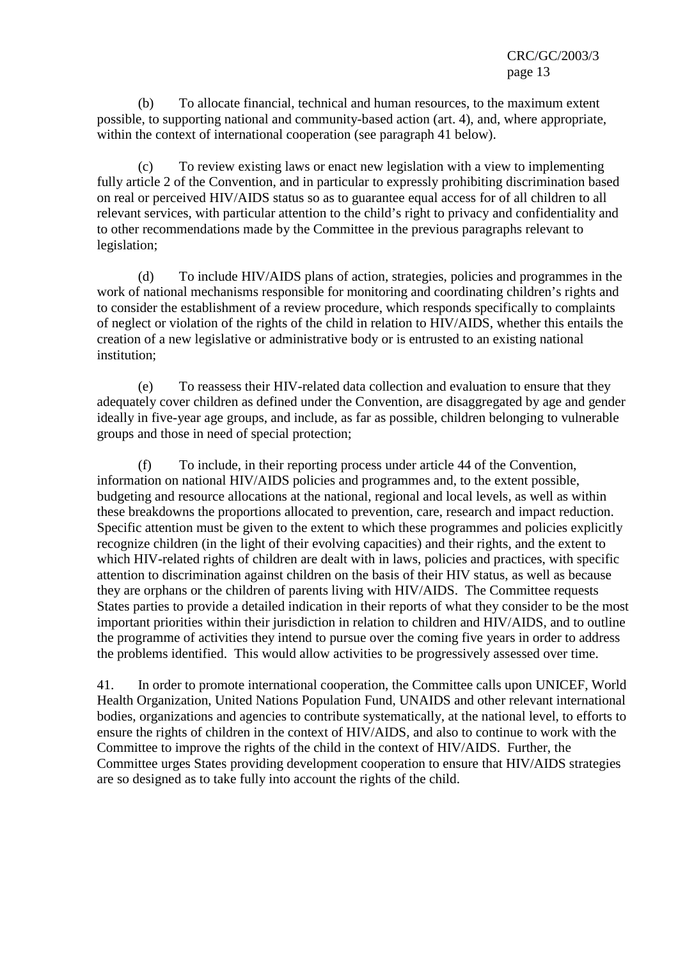(b) To allocate financial, technical and human resources, to the maximum extent possible, to supporting national and community-based action (art. 4), and, where appropriate, within the context of international cooperation (see paragraph 41 below).

 (c) To review existing laws or enact new legislation with a view to implementing fully article 2 of the Convention, and in particular to expressly prohibiting discrimination based on real or perceived HIV/AIDS status so as to guarantee equal access for of all children to all relevant services, with particular attention to the child's right to privacy and confidentiality and to other recommendations made by the Committee in the previous paragraphs relevant to legislation;

 (d) To include HIV/AIDS plans of action, strategies, policies and programmes in the work of national mechanisms responsible for monitoring and coordinating children's rights and to consider the establishment of a review procedure, which responds specifically to complaints of neglect or violation of the rights of the child in relation to HIV/AIDS, whether this entails the creation of a new legislative or administrative body or is entrusted to an existing national institution;

 (e) To reassess their HIV-related data collection and evaluation to ensure that they adequately cover children as defined under the Convention, are disaggregated by age and gender ideally in five-year age groups, and include, as far as possible, children belonging to vulnerable groups and those in need of special protection;

 (f) To include, in their reporting process under article 44 of the Convention, information on national HIV/AIDS policies and programmes and, to the extent possible, budgeting and resource allocations at the national, regional and local levels, as well as within these breakdowns the proportions allocated to prevention, care, research and impact reduction. Specific attention must be given to the extent to which these programmes and policies explicitly recognize children (in the light of their evolving capacities) and their rights, and the extent to which HIV-related rights of children are dealt with in laws, policies and practices, with specific attention to discrimination against children on the basis of their HIV status, as well as because they are orphans or the children of parents living with HIV/AIDS. The Committee requests States parties to provide a detailed indication in their reports of what they consider to be the most important priorities within their jurisdiction in relation to children and HIV/AIDS, and to outline the programme of activities they intend to pursue over the coming five years in order to address the problems identified. This would allow activities to be progressively assessed over time.

41. In order to promote international cooperation, the Committee calls upon UNICEF, World Health Organization, United Nations Population Fund, UNAIDS and other relevant international bodies, organizations and agencies to contribute systematically, at the national level, to efforts to ensure the rights of children in the context of HIV/AIDS, and also to continue to work with the Committee to improve the rights of the child in the context of HIV/AIDS. Further, the Committee urges States providing development cooperation to ensure that HIV/AIDS strategies are so designed as to take fully into account the rights of the child.